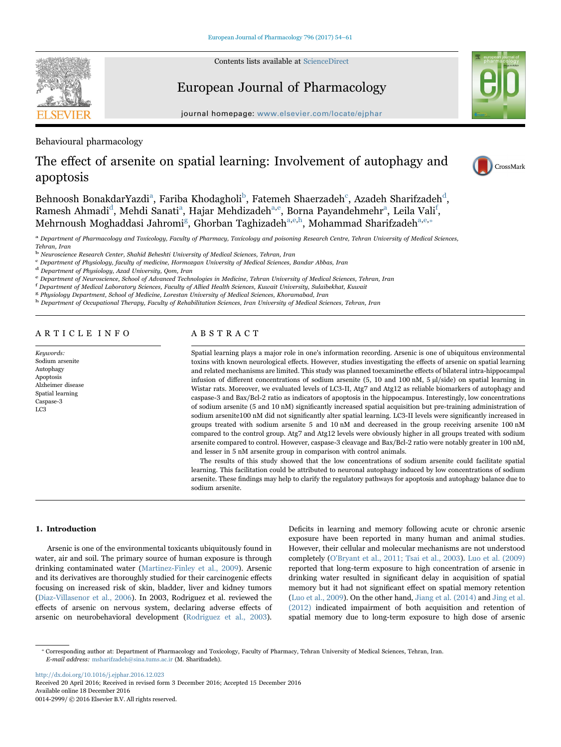Contents lists available at [ScienceDirect](http://www.sciencedirect.com/science/journal/00142999)



# European Journal of Pharmacology

journal homepage: [www.elsevier.com/locate/ejphar](http://www.elsevier.com/locate/ejphar)

Behavioural pharmacology

# The effect of arsenite on spatial learning: Involvement of autophagy and apoptosis

Behnoosh BonakdarYazdi<sup>a</sup>, Fariba Khodagholi<sup>b</sup>[, Fatemeh Shaerzadeh](#page-0-1)<sup>c</sup>[, Azadeh Sharifzadeh](#page-0-2)<sup>[d](#page-0-3)</sup>, Ramesh Ahmadi<sup>d</sup>[, Mehdi Sanati](#page-0-3)<sup>a</sup>[,](#page-0-5) [Hajar](#page-0-0) Mehdizadeh<sup>a,e</sup>[, Borna Payandehmehr](#page-0-4)<sup>a</sup>[, Leila Vali](#page-0-0)<sup>f</sup>, Mehrnoush Moghaddasi Jahromi<sup>g</sup>[, Ghorban Taghizadeh](#page-0-6)<sup>[a,](#page-0-0)[e,h](#page-0-4)</sup>[, Mohammad Sharifzadeh](#page-0-7)<sup>a,[e,](#page-0-4)\*</sup>

<span id="page-0-0"></span>a Department of Pharmacology and Toxicology, Faculty of Pharmacy, Toxicology and poisoning Research Centre, Tehran University of Medical Sciences, Tehran, Iran

<span id="page-0-1"></span><sup>b</sup> Neuroscience Research Center, Shahid Beheshti University of Medical Sciences, Tehran, Iran

<span id="page-0-3"></span><span id="page-0-2"></span> $\rm ^c$  Department of Physiology, faculty of medicine, Hormozgan University of Medical Sciences, Bandar Abbas, Iran $\rm ^d$  Department of Physiology, Azad University, Qom, Iran

<span id="page-0-4"></span>e Department of Neuroscience, School of Advanced Technologies in Medicine, Tehran University of Medical Sciences, Tehran, Iran

<span id="page-0-5"></span>f Department of Medical Laboratory Sciences, Faculty of Allied Health Sciences, Kuwait University, Sulaibekhat, Kuwait

<span id="page-0-6"></span><sup>g</sup> Physiology Department, School of Medicine, Lorestan University of Medical Sciences, Khoramabad, Iran

<span id="page-0-7"></span>h Department of Occupational Therapy, Faculty of Rehabilitation Sciences, Iran University of Medical Sciences, Tehran, Iran

## ARTICLE INFO

Keywords: Sodium arsenite Autophagy Apoptosis Alzheimer disease Spatial learning Caspase-3 LC3

## ABSTRACT

Spatial learning plays a major role in one's information recording. Arsenic is one of ubiquitous environmental toxins with known neurological effects. However, studies investigating the effects of arsenic on spatial learning and related mechanisms are limited. This study was planned toexaminethe effects of bilateral intra-hippocampal infusion of different concentrations of sodium arsenite (5, 10 and 100 nM, 5 µl/side) on spatial learning in Wistar rats. Moreover, we evaluated levels of LC3-II, Atg7 and Atg12 as reliable biomarkers of autophagy and caspase-3 and Bax/Bcl-2 ratio as indicators of apoptosis in the hippocampus. Interestingly, low concentrations of sodium arsenite (5 and 10 nM) significantly increased spatial acquisition but pre-training administration of sodium arsenite100 nM did not significantly alter spatial learning. LC3-II levels were significantly increased in groups treated with sodium arsenite 5 and 10 nM and decreased in the group receiving arsenite 100 nM compared to the control group. Atg7 and Atg12 levels were obviously higher in all groups treated with sodium arsenite compared to control. However, caspase-3 cleavage and Bax/Bcl-2 ratio were notably greater in 100 nM, and lesser in 5 nM arsenite group in comparison with control animals.

The results of this study showed that the low concentrations of sodium arsenite could facilitate spatial learning. This facilitation could be attributed to neuronal autophagy induced by low concentrations of sodium arsenite. These findings may help to clarify the regulatory pathways for apoptosis and autophagy balance due to sodium arsenite.

### 1. Introduction

Arsenic is one of the environmental toxicants ubiquitously found in water, air and soil. The primary source of human exposure is through drinking contaminated water [\(Martinez-Finley et al., 2009](#page-6-0)). Arsenic and its derivatives are thoroughly studied for their carcinogenic effects focusing on increased risk of skin, bladder, liver and kidney tumors ([Diaz-Villasenor et al., 2006\)](#page-6-1). In 2003, Rodriguez et al. reviewed the effects of arsenic on nervous system, declaring adverse effects of arsenic on neurobehavioral development ([Rodriguez et al., 2003\)](#page-6-2).

Deficits in learning and memory following acute or chronic arsenic exposure have been reported in many human and animal studies. However, their cellular and molecular mechanisms are not understood completely ([O'Bryant et al., 2011; Tsai et al., 2003\)](#page-6-3). [Luo et al. \(2009\)](#page-6-4) reported that long-term exposure to high concentration of arsenic in drinking water resulted in significant delay in acquisition of spatial memory but it had not significant effect on spatial memory retention ([Luo et al., 2009\)](#page-6-4). On the other hand, [Jiang et al. \(2014\)](#page-6-5) and [Jing et al.](#page-6-6) [\(2012\)](#page-6-6) indicated impairment of both acquisition and retention of spatial memory due to long-term exposure to high dose of arsenic

<http://dx.doi.org/10.1016/j.ejphar.2016.12.023> Received 20 April 2016; Received in revised form 3 December 2016; Accepted 15 December 2016 Available online 18 December 2016

0014-2999/ © 2016 Elsevier B.V. All rights reserved.





<span id="page-0-8"></span><sup>⁎</sup> Corresponding author at: Department of Pharmacology and Toxicology, Faculty of Pharmacy, Tehran University of Medical Sciences, Tehran, Iran. E-mail address: msharifzadeh@sina.tums.ac.ir (M. Sharifzadeh).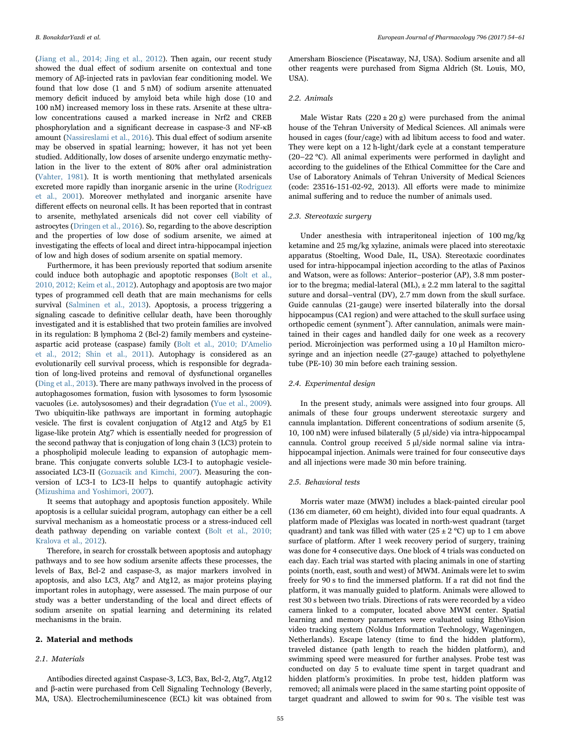([Jiang et al., 2014; Jing et al., 2012\)](#page-6-5). Then again, our recent study showed the dual effect of sodium arsenite on contextual and tone memory of Aβ-injected rats in pavlovian fear conditioning model. We found that low dose (1 and 5 nM) of sodium arsenite attenuated memory deficit induced by amyloid beta while high dose (10 and 100 nM) increased memory loss in these rats. Arsenite at these ultralow concentrations caused a marked increase in Nrf2 and CREB phosphorylation and a significant decrease in caspase-3 and NF-κB amount [\(Nassireslami et al., 2016](#page-6-7)). This dual effect of sodium arsenite may be observed in spatial learning; however, it has not yet been studied. Additionally, low doses of arsenite undergo enzymatic methylation in the liver to the extent of 80% after oral administration ([Vahter, 1981](#page-6-8)). It is worth mentioning that methylated arsenicals excreted more rapidly than inorganic arsenic in the urine ([Rodriguez](#page-6-9) [et al., 2001](#page-6-9)). Moreover methylated and inorganic arsenite have different effects on neuronal cells. It has been reported that in contrast to arsenite, methylated arsenicals did not cover cell viability of astrocytes ([Dringen et al., 2016\)](#page-6-10). So, regarding to the above description and the properties of low dose of sodium arsenite, we aimed at investigating the effects of local and direct intra-hippocampal injection of low and high doses of sodium arsenite on spatial memory.

Furthermore, it has been previously reported that sodium arsenite could induce both autophagic and apoptotic responses ([Bolt et al.,](#page-5-0) [2010, 2012; Keim et al., 2012\)](#page-5-0). Autophagy and apoptosis are two major types of programmed cell death that are main mechanisms for cells survival ([Salminen et al., 2013\)](#page-6-11). Apoptosis, a process triggering a signaling cascade to definitive cellular death, have been thoroughly investigated and it is established that two protein families are involved in its regulation: B lymphoma 2 (Bcl-2) family members and cysteineaspartic acid protease (caspase) family ([Bolt et al., 2010; D'Amelio](#page-5-0) [et al., 2012; Shin et al., 2011](#page-5-0)). Autophagy is considered as an evolutionarily cell survival process, which is responsible for degradation of long-lived proteins and removal of dysfunctional organelles ([Ding et al., 2013\)](#page-6-12). There are many pathways involved in the process of autophagosomes formation, fusion with lysosomes to form lysosomic vacuoles (i.e. autolysosomes) and their degradation [\(Yue et al., 2009\)](#page-7-0). Two ubiquitin-like pathways are important in forming autophagic vesicle. The first is covalent conjugation of Atg12 and Atg5 by E1 ligase-like protein Atg7 which is essentially needed for progression of the second pathway that is conjugation of long chain 3 (LC3) protein to a phospholipid molecule leading to expansion of autophagic membrane. This conjugate converts soluble LC3-I to autophagic vesicleassociated LC3-II [\(Gozuacik and Kimchi, 2007\)](#page-6-13). Measuring the conversion of LC3-I to LC3-II helps to quantify autophagic activity ([Mizushima and Yoshimori, 2007\)](#page-6-14).

It seems that autophagy and apoptosis function appositely. While apoptosis is a cellular suicidal program, autophagy can either be a cell survival mechanism as a homeostatic process or a stress-induced cell death pathway depending on variable context [\(Bolt et al., 2010;](#page-5-0) [Kralova et al., 2012](#page-5-0)).

Therefore, in search for crosstalk between apoptosis and autophagy pathways and to see how sodium arsenite affects these processes, the levels of Bax, Bcl-2 and caspase-3, as major markers involved in apoptosis, and also LC3, Atg7 and Atg12, as major proteins playing important roles in autophagy, were assessed. The main purpose of our study was a better understanding of the local and direct effects of sodium arsenite on spatial learning and determining its related mechanisms in the brain.

#### 2. Material and methods

#### 2.1. Materials

Antibodies directed against Caspase-3, LC3, Bax, Bcl-2, Atg7, Atg12 and β-actin were purchased from Cell Signaling Technology (Beverly, MA, USA). Electrochemiluminescence (ECL) kit was obtained from

Amersham Bioscience (Piscataway, NJ, USA). Sodium arsenite and all other reagents were purchased from Sigma Aldrich (St. Louis, MO, USA).

#### 2.2. Animals

Male Wistar Rats  $(220 \pm 20 \text{ g})$  were purchased from the animal house of the Tehran University of Medical Sciences. All animals were housed in cages (four/cage) with ad libitum access to food and water. They were kept on a 12 h-light/dark cycle at a constant temperature (20–22 °C). All animal experiments were performed in daylight and according to the guidelines of the Ethical Committee for the Care and Use of Laboratory Animals of Tehran University of Medical Sciences (code: 23516-151-02-92, 2013). All efforts were made to minimize animal suffering and to reduce the number of animals used.

#### 2.3. Stereotaxic surgery

Under anesthesia with intraperitoneal injection of 100 mg/kg ketamine and 25 mg/kg xylazine, animals were placed into stereotaxic apparatus (Stoelting, Wood Dale, IL, USA). Stereotaxic coordinates used for intra-hippocampal injection according to the atlas of Paxinos and Watson, were as follows: Anterior–posterior (AP), 3.8 mm posterior to the bregma; medial-lateral (ML),  $\pm$  2.2 mm lateral to the sagittal suture and dorsal–ventral (DV), 2.7 mm down from the skull surface. Guide cannulas (21-gauge) were inserted bilaterally into the dorsal hippocampus (CA1 region) and were attached to the skull surface using orthopedic cement (synment<sup>®</sup>). After cannulation, animals were maintained in their cages and handled daily for one week as a recovery period. Microinjection was performed using a 10 µl Hamilton microsyringe and an injection needle (27-gauge) attached to polyethylene tube (PE-10) 30 min before each training session.

#### 2.4. Experimental design

In the present study, animals were assigned into four groups. All animals of these four groups underwent stereotaxic surgery and cannula implantation. Different concentrations of sodium arsenite (5, 10, 100 nM) were infused bilaterally (5 µl/side) via intra-hippocampal cannula. Control group received 5 µl/side normal saline via intrahippocampal injection. Animals were trained for four consecutive days and all injections were made 30 min before training.

#### 2.5. Behavioral tests

Morris water maze (MWM) includes a black-painted circular pool (136 cm diameter, 60 cm height), divided into four equal quadrants. A platform made of Plexiglas was located in north-west quadrant (target quadrant) and tank was filled with water (25  $\pm$  2 °C) up to 1 cm above surface of platform. After 1 week recovery period of surgery, training was done for 4 consecutive days. One block of 4 trials was conducted on each day. Each trial was started with placing animals in one of starting points (north, east, south and west) of MWM. Animals were let to swim freely for 90 s to find the immersed platform. If a rat did not find the platform, it was manually guided to platform. Animals were allowed to rest 30 s between two trials. Directions of rats were recorded by a video camera linked to a computer, located above MWM center. Spatial learning and memory parameters were evaluated using EthoVision video tracking system (Noldus Information Technology, Wageningen, Netherlands). Escape latency (time to find the hidden platform), traveled distance (path length to reach the hidden platform), and swimming speed were measured for further analyses. Probe test was conducted on day 5 to evaluate time spent in target quadrant and hidden platform's proximities. In probe test, hidden platform was removed; all animals were placed in the same starting point opposite of target quadrant and allowed to swim for 90 s. The visible test was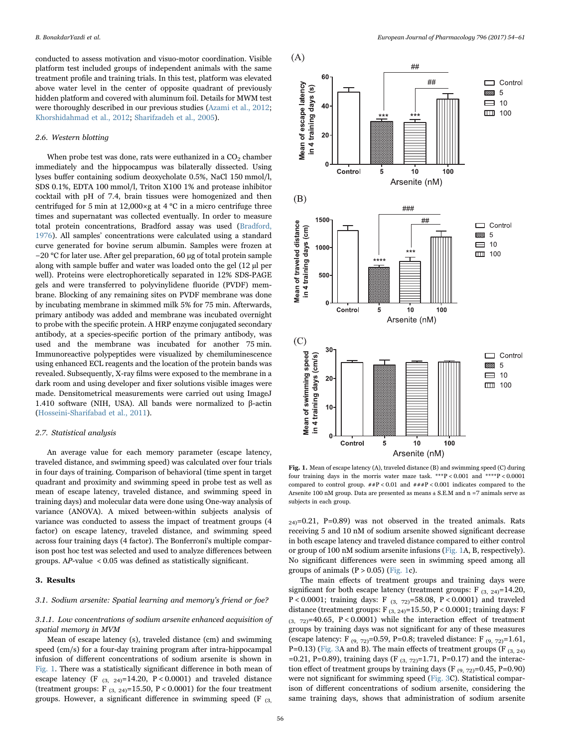conducted to assess motivation and visuo-motor coordination. Visible platform test included groups of independent animals with the same treatment profile and training trials. In this test, platform was elevated above water level in the center of opposite quadrant of previously hidden platform and covered with aluminum foil. Details for MWM test were thoroughly described in our previous studies [\(Azami et al., 2012](#page-5-1); [Khorshidahmad et al., 2012;](#page-6-15) [Sharifzadeh et al., 2005\)](#page-6-16).

#### 2.6. Western blotting

When probe test was done, rats were euthanized in a  $CO<sub>2</sub>$  chamber immediately and the hippocampus was bilaterally dissected. Using lyses buffer containing sodium deoxycholate 0.5%, NaCl 150 mmol/l, SDS 0.1%, EDTA 100 mmol/l, Triton X100 1% and protease inhibitor cocktail with pH of 7.4, brain tissues were homogenized and then centrifuged for 5 min at 12,000 $\times$ g at 4 °C in a micro centrifuge three times and supernatant was collected eventually. In order to measure total protein concentrations, Bradford assay was used ([Bradford,](#page-6-17) [1976\)](#page-6-17). All samples' concentrations were calculated using a standard curve generated for bovine serum albumin. Samples were frozen at −20 °C for later use. After gel preparation, 60 µg of total protein sample along with sample buffer and water was loaded onto the gel (12 µl per well). Proteins were electrophoretically separated in 12% SDS-PAGE gels and were transferred to polyvinylidene fluoride (PVDF) membrane. Blocking of any remaining sites on PVDF membrane was done by incubating membrane in skimmed milk 5% for 75 min. Afterwards, primary antibody was added and membrane was incubated overnight to probe with the specific protein. A HRP enzyme conjugated secondary antibody, at a species-specific portion of the primary antibody, was used and the membrane was incubated for another 75 min. Immunoreactive polypeptides were visualized by chemiluminescence using enhanced ECL reagents and the location of the protein bands was revealed. Subsequently, X-ray films were exposed to the membrane in a dark room and using developer and fixer solutions visible images were made. Densitometrical measurements were carried out using ImageJ 1.410 software (NIH, USA). All bands were normalized to β-actin ([Hosseini-Sharifabad et al., 2011](#page-6-18)).

#### 2.7. Statistical analysis

An average value for each memory parameter (escape latency, traveled distance, and swimming speed) was calculated over four trials in four days of training. Comparison of behavioral (time spent in target quadrant and proximity and swimming speed in probe test as well as mean of escape latency, traveled distance, and swimming speed in training days) and molecular data were done using One-way analysis of variance (ANOVA). A mixed between-within subjects analysis of variance was conducted to assess the impact of treatment groups (4 factor) on escape latency, traveled distance, and swimming speed across four training days (4 factor). The Bonferroni's multiple comparison post hoc test was selected and used to analyze differences between groups. AP-value < 0.05 was defined as statistically significant.

#### 3. Results

#### 3.1. Sodium arsenite: Spatial learning and memory's friend or foe?

3.1.1. Low concentrations of sodium arsenite enhanced acquisition of spatial memory in MVM

Mean of escape latency (s), traveled distance (cm) and swimming speed (cm/s) for a four-day training program after intra-hippocampal infusion of different concentrations of sodium arsenite is shown in [Fig. 1](#page-2-0). There was a statistically significant difference in both mean of escape latency (F  $_{(3, 24)}$ =14.20, P < 0.0001) and traveled distance (treatment groups: F<sub>(3, 24)</sub>=15.50, P < 0.0001) for the four treatment groups. However, a significant difference in swimming speed (F (3,

<span id="page-2-0"></span>

Fig. 1. Mean of escape latency (A), traveled distance (B) and swimming speed (C) during four training days in the morris water maze task. \*\*\*P < 0.001 and \*\*\*\*P < 0.0001 compared to control group.  $\#P < 0.01$  and  $\# \#P < 0.001$  indicates compared to the Arsenite 100 nM group. Data are presented as means ± S.E.M and n =7 animals serve as subjects in each group.

 $_{24}$ =0.21, P=0.89) was not observed in the treated animals. Rats receiving 5 and 10 nM of sodium arsenite showed significant decrease in both escape latency and traveled distance compared to either control or group of 100 nM sodium arsenite infusions ([Fig. 1](#page-2-0)A, B, respectively). No significant differences were seen in swimming speed among all groups of animals  $(P > 0.05)$  ([Fig. 1](#page-2-0)c).

The main effects of treatment groups and training days were significant for both escape latency (treatment groups: F<sub>(3, 24)</sub>=14.20, P < 0.0001; training days: F  $_{(3, 72)}$ =58.08, P < 0.0001) and traveled distance (treatment groups: F<sub>(3, 24)</sub>=15.50, P < 0.0001; training days: F  $(3, 72)=40.65$ ,  $P < 0.0001$ ) while the interaction effect of treatment groups by training days was not significant for any of these measures (escape latency: F<sub>(9, 72)</sub>=0.59, P=0.8; traveled distance: F<sub>(9, 72)</sub>=1.61, P=0.13) [\(Fig. 3](#page-3-0)A and B). The main effects of treatment groups (F  $_{(3, 24)}$ ) =0.21, P=0.89), training days (F<sub>(3, 72)</sub>=1.71, P=0.17) and the interaction effect of treatment groups by training days (F  $(9, 72) = 0.45$ , P=0.90) were not significant for swimming speed [\(Fig. 3C](#page-3-0)). Statistical comparison of different concentrations of sodium arsenite, considering the same training days, shows that administration of sodium arsenite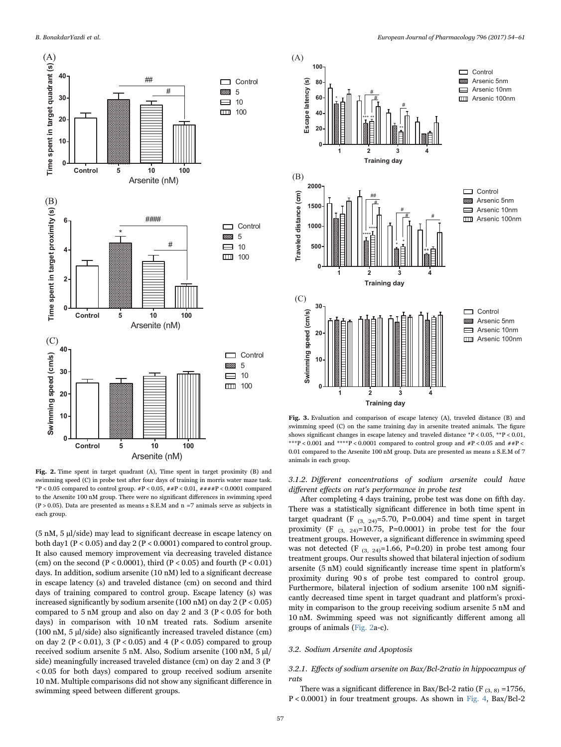<span id="page-3-1"></span>

Fig. 2. Time spent in target quadrant (A), Time spent in target proximity (B) and swimming speed (C) in probe test after four days of training in morris water maze task. \*P < 0.05 compared to control group. #P < 0.05, ##P < 0.01, ####P < 0.0001 compared to the Arsenite 100 nM group. There were no significant differences in swimming speed (P > 0.05). Data are presented as means  $\pm$  S.E.M and n =7 animals serve as subjects in each group.

(5 nM, 5 µl/side) may lead to significant decrease in escape latency on both day1 ( $P < 0.05$ ) and day 2 ( $P < 0.0001$ ) compared to control group. It also caused memory improvement via decreasing traveled distance (cm) on the second (P < 0.0001), third (P < 0.05) and fourth (P < 0.01) days. In addition, sodium arsenite (10 nM) led to a significant decrease in escape latency (s) and traveled distance (cm) on second and third days of training compared to control group. Escape latency (s) was increased significantly by sodium arsenite (100 nM) on day  $2 (P < 0.05)$ compared to  $5 \text{ nM}$  group and also on day 2 and  $3 (P < 0.05 \text{ for both})$ days) in comparison with 10 nM treated rats. Sodium arsenite (100 nM, 5 µl/side) also significantly increased traveled distance (cm) on day 2 ( $P < 0.01$ ), 3 ( $P < 0.05$ ) and 4 ( $P < 0.05$ ) compared to group received sodium arsenite 5 nM. Also, Sodium arsenite (100 nM, 5 µl/ side) meaningfully increased traveled distance (cm) on day 2 and 3 (P < 0.05 for both days) compared to group received sodium arsenite 10 nM. Multiple comparisons did not show any significant difference in swimming speed between different groups.

<span id="page-3-0"></span>

Fig. 3. Evaluation and comparison of escape latency (A), traveled distance (B) and swimming speed (C) on the same training day in arsenite treated animals. The figure shows significant changes in escape latency and traveled distance \*P < 0.05, \*\*P < 0.01, \*\*\*P < 0.001 and \*\*\*\*P < 0.0001 compared to control group and  $\#P$  < 0.05 and  $\#P$  < 0.01 compared to the Arsenite 100 nM group. Data are presented as means ± S.E.M of 7 animals in each group.

3.1.2. Different concentrations of sodium arsenite could have different effects on rat's performance in probe test

After completing 4 days training, probe test was done on fifth day. There was a statistically significant difference in both time spent in target quadrant (F  $_{(3, 24)}$ =5.70, P=0.004) and time spent in target proximity (F  $_{(3, 24)}$ =10.75, P=0.0001) in probe test for the four treatment groups. However, a significant difference in swimming speed was not detected (F  $_{(3, 24)}$ =1.66, P=0.20) in probe test among four treatment groups. Our results showed that bilateral injection of sodium arsenite (5 nM) could significantly increase time spent in platform's proximity during 90 s of probe test compared to control group. Furthermore, bilateral injection of sodium arsenite 100 nM significantly decreased time spent in target quadrant and platform's proximity in comparison to the group receiving sodium arsenite 5 nM and 10 nM. Swimming speed was not significantly different among all groups of animals [\(Fig. 2a](#page-3-1)-c).

#### 3.2. Sodium Arsenite and Apoptosis

#### 3.2.1. Effects of sodium arsenite on Bax/Bcl-2ratio in hippocampus of rats

There was a significant difference in Bax/Bcl-2 ratio (F  $_{(3, 8)}$  =1756, P < 0.0001) in four treatment groups. As shown in [Fig. 4,](#page-4-0) Bax/Bcl-2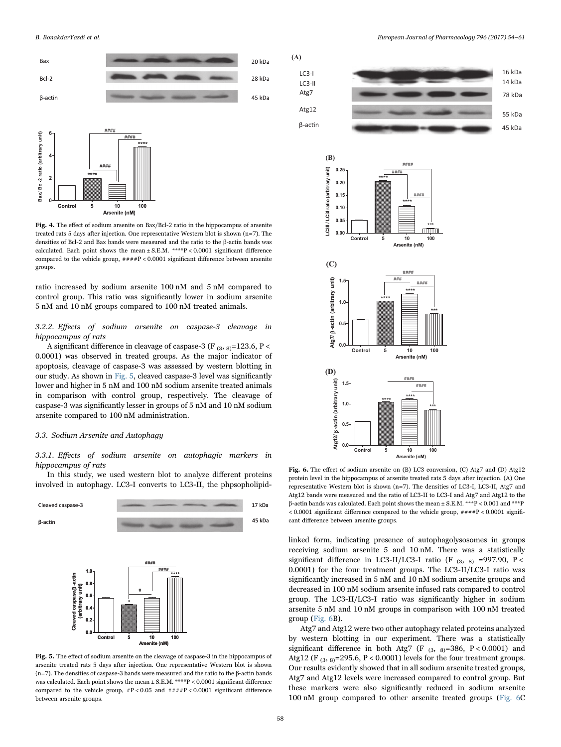<span id="page-4-0"></span>



Fig. 4. The effect of sodium arsenite on Bax/Bcl-2 ratio in the hippocampus of arsenite treated rats 5 days after injection. One representative Western blot is shown (n=7). The densities of Bcl-2 and Bax bands were measured and the ratio to the β-actin bands was calculated. Each point shows the mean  $\pm$  S.E.M. \*\*\*\*P < 0.0001 significant difference compared to the vehicle group, ####P < 0.0001 significant difference between arsenite groups.

ratio increased by sodium arsenite 100 nM and 5 nM compared to control group. This ratio was significantly lower in sodium arsenite 5 nM and 10 nM groups compared to 100 nM treated animals.

3.2.2. Effects of sodium arsenite on caspase-3 cleavage in hippocampus of rats

A significant difference in cleavage of caspase-3 (F  $_{(3, 8)}$ =123.6, P < 0.0001) was observed in treated groups. As the major indicator of apoptosis, cleavage of caspase-3 was assessed by western blotting in our study. As shown in [Fig. 5,](#page-4-1) cleaved caspase-3 level was significantly lower and higher in 5 nM and 100 nM sodium arsenite treated animals in comparison with control group, respectively. The cleavage of caspase-3 was significantly lesser in groups of 5 nM and 10 nM sodium arsenite compared to 100 nM administration.

#### 3.3. Sodium Arsenite and Autophagy

3.3.1. Effects of sodium arsenite on autophagic markers in hippocampus of rats

In this study, we used western blot to analyze different proteins involved in autophagy. LC3-I converts to LC3-II, the phpsopholipid-

<span id="page-4-1"></span>

Fig. 5. The effect of sodium arsenite on the cleavage of caspase-3 in the hippocampus of arsenite treated rats 5 days after injection. One representative Western blot is shown (n=7). The densities of caspase-3 bands were measured and the ratio to the β-actin bands was calculated. Each point shows the mean  $\pm$  S.E.M. \*\*\*\*P < 0.0001 significant difference compared to the vehicle group,  $\#P < 0.05$  and  $\#H \#P < 0.0001$  significant difference between arsenite groups.

<span id="page-4-2"></span>





Fig. 6. The effect of sodium arsenite on (B) LC3 conversion, (C) Atg7 and (D) Atg12 protein level in the hippocampus of arsenite treated rats 5 days after injection. (A) One representative Western blot is shown (n=7). The densities of LC3-I, LC3-II, Atg7 and Atg12 bands were measured and the ratio of LC3-II to LC3-I and Atg7 and Atg12 to the β-actin bands was calculated. Each point shows the mean ± S.E.M. \*\*\*P < 0.001 and \*\*\*P  $< 0.0001$  significant difference compared to the vehicle group,  $\#H \#P < 0.0001$  significant difference between arsenite groups.

linked form, indicating presence of autophagolysosomes in groups receiving sodium arsenite 5 and 10 nM. There was a statistically significant difference in LC3-II/LC3-I ratio (F  $_{(3, 8)}$  =997.90, P < 0.0001) for the four treatment groups. The LC3-II/LC3-I ratio was significantly increased in 5 nM and 10 nM sodium arsenite groups and decreased in 100 nM sodium arsenite infused rats compared to control group. The LC3-II/LC3-I ratio was significantly higher in sodium arsenite 5 nM and 10 nM groups in comparison with 100 nM treated group ([Fig. 6](#page-4-2)B).

Atg7 and Atg12 were two other autophagy related proteins analyzed by western blotting in our experiment. There was a statistically significant difference in both Atg7 (F  $_{(3, 8)}$ =386, P < 0.0001) and Atg12 (F<sub>(3,8)</sub>=295.6, P < 0.0001) levels for the four treatment groups. Our results evidently showed that in all sodium arsenite treated groups, Atg7 and Atg12 levels were increased compared to control group. But these markers were also significantly reduced in sodium arsenite 100 nM group compared to other arsenite treated groups [\(Fig. 6C](#page-4-2)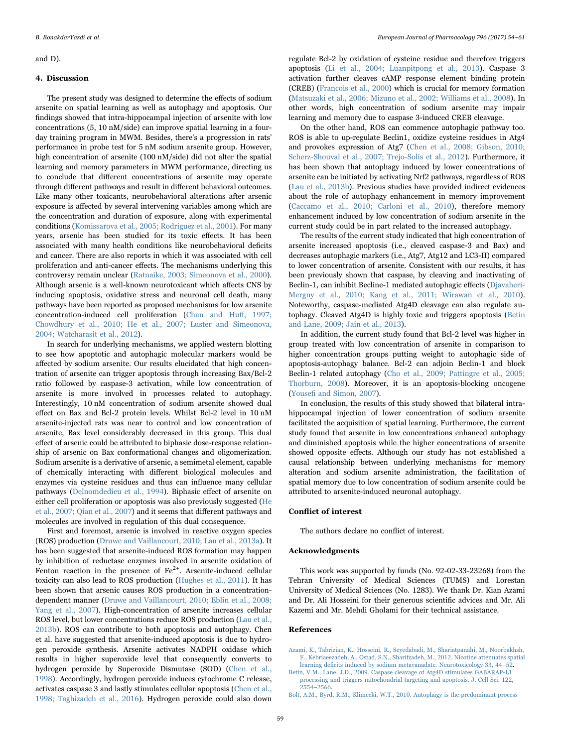#### and D).

#### 4. Discussion

The present study was designed to determine the effects of sodium arsenite on spatial learning as well as autophagy and apoptosis. Our findings showed that intra-hippocampal injection of arsenite with low concentrations (5, 10 nM/side) can improve spatial learning in a fourday training program in MWM. Besides, there's a progression in rats' performance in probe test for 5 nM sodium arsenite group. However, high concentration of arsenite (100 nM/side) did not alter the spatial learning and memory parameters in MWM performance, directing us to conclude that different concentrations of arsenite may operate through different pathways and result in different behavioral outcomes. Like many other toxicants, neurobehavioral alterations after arsenic exposure is affected by several intervening variables among which are the concentration and duration of exposure, along with experimental conditions ([Komissarova et al., 2005; Rodriguez et al., 2001\)](#page-6-19). For many years, arsenic has been studied for its toxic effects. It has been associated with many health conditions like neurobehavioral deficits and cancer. There are also reports in which it was associated with cell proliferation and anti-cancer effects. The mechanisms underlying this controversy remain unclear ([Ratnaike, 2003; Simeonova et al., 2000\)](#page-6-20). Although arsenic is a well-known neurotoxicant which affects CNS by inducing apoptosis, oxidative stress and neuronal cell death, many pathways have been reported as proposed mechanisms for low arsenite concentration-induced cell proliferation ([Chan and Hu](#page-6-21)ff, 1997; [Chowdhury et al., 2010; He et al., 2007; Luster and Simeonova,](#page-6-21) [2004; Watcharasit et al., 2012](#page-6-21)).

In search for underlying mechanisms, we applied western blotting to see how apoptotic and autophagic molecular markers would be affected by sodium arsenite. Our results elucidated that high concentration of arsenite can trigger apoptosis through increasing Bax/Bcl-2 ratio followed by caspase-3 activation, while low concentration of arsenite is more involved in processes related to autophagy. Interestingly, 10 nM concentration of sodium arsenite showed dual effect on Bax and Bcl-2 protein levels. Whilst Bcl-2 level in 10 nM arsenite-injected rats was near to control and low concentration of arsenite, Bax level considerably decreased in this group. This dual effect of arsenic could be attributed to biphasic dose-response relationship of arsenic on Bax conformational changes and oligomerization. Sodium arsenite is a derivative of arsenic, a semimetal element, capable of chemically interacting with different biological molecules and enzymes via cysteine residues and thus can influence many cellular pathways [\(Delnomdedieu et al., 1994\)](#page-6-22). Biphasic effect of arsenite on either cell proliferation or apoptosis was also previously suggested [\(He](#page-6-23) [et al., 2007; Qian et al., 2007](#page-6-23)) and it seems that different pathways and molecules are involved in regulation of this dual consequence.

First and foremost, arsenic is involved in reactive oxygen species (ROS) production ([Druwe and Vaillancourt, 2010; Lau et al., 2013a\)](#page-6-24). It has been suggested that arsenite-induced ROS formation may happen by inhibition of reductase enzymes involved in arsenite oxidation of Fenton reaction in the presence of  $Fe<sup>2+</sup>$ . Arsenite-induced cellular toxicity can also lead to ROS production [\(Hughes et al., 2011\)](#page-6-25). It has been shown that arsenic causes ROS production in a concentrationdependent manner ([Druwe and Vaillancourt, 2010; Eblin et al., 2008;](#page-6-24) [Yang et al., 2007\)](#page-6-24). High-concentration of arsenite increases cellular ROS level, but lower concentrations reduce ROS production ([Lau et al.,](#page-6-26) [2013b](#page-6-26)). ROS can contribute to both apoptosis and autophagy. Chen et al. have suggested that arsenite-induced apoptosis is due to hydrogen peroxide synthesis. Arsenite activates NADPH oxidase which results in higher superoxide level that consequently converts to hydrogen peroxide by Superoxide Dismutase (SOD) [\(Chen et al.,](#page-6-27) [1998\)](#page-6-27). Accordingly, hydrogen peroxide induces cytochrome C release, activates caspase 3 and lastly stimulates cellular apoptosis ([Chen et al.,](#page-6-27) [1998; Taghizadeh et al., 2016\)](#page-6-27). Hydrogen peroxide could also down

regulate Bcl-2 by oxidation of cysteine residue and therefore triggers apoptosis [\(Li et al., 2004; Luanpitpong et al., 2013](#page-6-28)). Caspase 3 activation further cleaves cAMP response element binding protein (CREB) [\(Francois et al., 2000](#page-6-29)) which is crucial for memory formation ([Matsuzaki et al., 2006; Mizuno et al., 2002; Williams et al., 2008](#page-6-30)). In other words, high concentration of sodium arsenite may impair learning and memory due to caspase 3-induced CREB cleavage.

On the other hand, ROS can commence autophagic pathway too. ROS is able to up-regulate Beclin1, oxidize cysteine residues in Atg4 and provokes expression of Atg7 [\(Chen et al., 2008; Gibson, 2010;](#page-6-31) [Scherz-Shouval et al., 2007; Trejo-Solís et al., 2012\)](#page-6-31). Furthermore, it has been shown that autophagy induced by lower concentrations of arsenite can be initiated by activating Nrf2 pathways, regardless of ROS ([Lau et al., 2013b\)](#page-6-26). Previous studies have provided indirect evidences about the role of autophagy enhancement in memory improvement ([Caccamo et al., 2010; Carloni et al., 2010\)](#page-6-32), therefore memory enhancement induced by low concentration of sodium arsenite in the current study could be in part related to the increased autophagy.

The results of the current study indicated that high concentration of arsenite increased apoptosis (i.e., cleaved caspase-3 and Bax) and decreases autophagic markers (i.e., Atg7, Atg12 and LC3-II) compared to lower concentration of arsenite. Consistent with our results, it has been previously shown that caspase, by cleaving and inactivating of Beclin-1, can inhibit Becline-1 mediated autophagic effects [\(Djavaheri-](#page-6-33)[Mergny et al., 2010; Kang et al., 2011; Wirawan et al., 2010\)](#page-6-33). Noteworthy, caspase-mediated Atg4D cleavage can also regulate autophagy. Cleaved Atg4D is highly toxic and triggers apoptosis ([Betin](#page-5-2) [and Lane, 2009; Jain et al., 2013](#page-5-2)).

In addition, the current study found that Bcl-2 level was higher in group treated with low concentration of arsenite in comparison to higher concentration groups putting weight to autophagic side of apoptosis-autophagy balance. Bcl-2 can adjoin Beclin-1 and block Beclin-1 related autophagy [\(Cho et al., 2009; Pattingre et al., 2005;](#page-6-34) [Thorburn, 2008\)](#page-6-34). Moreover, it is an apoptosis-blocking oncogene (Yousefi [and Simon, 2007\)](#page-7-1).

In conclusion, the results of this study showed that bilateral intrahippocampal injection of lower concentration of sodium arsenite facilitated the acquisition of spatial learning. Furthermore, the current study found that arsenite in low concentrations enhanced autophagy and diminished apoptosis while the higher concentrations of arsenite showed opposite effects. Although our study has not established a causal relationship between underlying mechanisms for memory alteration and sodium arsenite administration, the facilitation of spatial memory due to low concentration of sodium arsenite could be attributed to arsenite-induced neuronal autophagy.

#### Conflict of interest

The authors declare no conflict of interest.

#### Acknowledgments

This work was supported by funds (No. 92-02-33-23268) from the Tehran University of Medical Sciences (TUMS) and Lorestan University of Medical Sciences (No. 1283). We thank Dr. Kian Azami and Dr. Ali Hosseini for their generous scientific advices and Mr. Ali Kazemi and Mr. Mehdi Gholami for their technical assistance.

#### References

<span id="page-5-1"></span>[Azami, K., Tabrizian, K., Hosseini, R., Seyedabadi, M., Shariatpanahi, M., Noorbakhsh,](http://refhub.elsevier.com/S0014-16)30793-sbref1) [F., Kebriaeezadeh, A., Ostad, S.N., Sharifzadeh, M., 2012. Nicotine attenuates spatial](http://refhub.elsevier.com/S0014-16)30793-sbref1) learning defi[cits induced by sodium metavanadate. Neurotoxicology 33, 44](http://refhub.elsevier.com/S0014-16)30793-sbref1)–52.

<span id="page-5-2"></span>[Betin, V.M., Lane, J.D., 2009. Caspase cleavage of Atg4D stimulates GABARAP-L1](http://refhub.elsevier.com/S0014-16)30793-sbref2) [processing and triggers mitochondrial targeting and apoptosis. J. Cell Sci. 122,](http://refhub.elsevier.com/S0014-16)30793-sbref2) 2554–[2566](http://refhub.elsevier.com/S0014-16)30793-sbref2).

<span id="page-5-0"></span>[Bolt, A.M., Byrd, R.M., Klimecki, W.T., 2010. Autophagy is the predominant process](http://refhub.elsevier.com/S0014-16)30793-sbref3)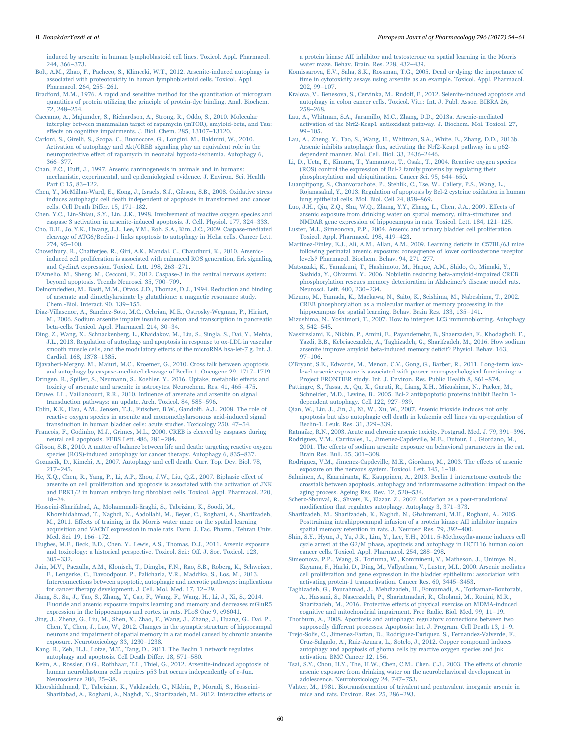[induced by arsenite in human lymphoblastoid cell lines. Toxicol. Appl. Pharmacol.](http://refhub.elsevier.com/S0014-16)30793-sbref3) [244, 366](http://refhub.elsevier.com/S0014-16)30793-sbref3)–373.

- [Bolt, A.M., Zhao, F., Pacheco, S., Klimecki, W.T., 2012. Arsenite-induced autophagy is](http://refhub.elsevier.com/S0014-16)30793-sbref4) [associated with proteotoxicity in human lymphoblastoid cells. Toxicol. Appl.](http://refhub.elsevier.com/S0014-16)30793-sbref4) [Pharmacol. 264, 255](http://refhub.elsevier.com/S0014-16)30793-sbref4)–261.
- <span id="page-6-17"></span>[Bradford, M.M., 1976. A rapid and sensitive method for the quantitation of microgram](http://refhub.elsevier.com/S0014-16)30793-sbref5) [quantities of protein utilizing the principle of protein-dye binding. Anal. Biochem.](http://refhub.elsevier.com/S0014-16)30793-sbref5) [72, 248](http://refhub.elsevier.com/S0014-16)30793-sbref5)–254.
- <span id="page-6-32"></span>[Caccamo, A., Majumder, S., Richardson, A., Strong, R., Oddo, S., 2010. Molecular](http://refhub.elsevier.com/S0014-16)30793-sbref6) [interplay between mammalian target of rapamycin \(mTOR\), amyloid-beta, and Tau:](http://refhub.elsevier.com/S0014-16)30793-sbref6) eff[ects on cognitive impairments. J. Biol. Chem. 285, 13107](http://refhub.elsevier.com/S0014-16)30793-sbref6)–13120.
- [Carloni, S., Girelli, S., Scopa, C., Buonocore, G., Longini, M., Balduini, W., 2010.](http://refhub.elsevier.com/S0014-16)30793-sbref7) [Activation of autophagy and Akt/CREB signaling play an equivalent role in the](http://refhub.elsevier.com/S0014-16)30793-sbref7) neuroprotective eff[ect of rapamycin in neonatal hypoxia-ischemia. Autophagy 6,](http://refhub.elsevier.com/S0014-16)30793-sbref7) 366–[377](http://refhub.elsevier.com/S0014-16)30793-sbref7).
- <span id="page-6-21"></span>Chan, P.C., Huff[, J., 1997. Arsenic carcinogenesis in animals and in humans:](http://refhub.elsevier.com/S0014-16)30793-sbref8) [mechanistic, experimental, and epidemiological evidence. J. Environ. Sci. Health](http://refhub.elsevier.com/S0014-16)30793-sbref8) [Part C 15, 83](http://refhub.elsevier.com/S0014-16)30793-sbref8)–122.
- <span id="page-6-31"></span>[Chen, Y., McMillan-Ward, E., Kong, J., Israels, S.J., Gibson, S.B., 2008. Oxidative stress](http://refhub.elsevier.com/S0014-16)30793-sbref9) [induces autophagic cell death independent of apoptosis in transformed and cancer](http://refhub.elsevier.com/S0014-16)30793-sbref9) [cells. Cell Death Di](http://refhub.elsevier.com/S0014-16)30793-sbref9)ffer. 15, 171–182.
- <span id="page-6-27"></span>[Chen, Y.C., Lin-Shiau, S.Y., Lin, J.K., 1998. Involvement of reactive oxygen species and](http://refhub.elsevier.com/S0014-16)30793-sbref10) [caspase 3 activation in arsenite-induced apoptosis. J. Cell. Physiol. 177, 324](http://refhub.elsevier.com/S0014-16)30793-sbref10)–333.
- <span id="page-6-34"></span>[Cho, D.H., Jo, Y.K., Hwang, J.J., Lee, Y.M., Roh, S.A., Kim, J.C., 2009. Caspase-mediated](http://refhub.elsevier.com/S0014-16)30793-sbref11) [cleavage of ATG6/Beclin-1 links apoptosis to autophagy in HeLa cells. Cancer Lett.](http://refhub.elsevier.com/S0014-16)30793-sbref11) [274, 95](http://refhub.elsevier.com/S0014-16)30793-sbref11)–100.
- [Chowdhury, R., Chatterjee, R., Giri, A.K., Mandal, C., Chaudhuri, K., 2010. Arsenic](http://refhub.elsevier.com/S0014-16)30793-sbref12)[induced cell proliferation is associated with enhanced ROS generation, Erk signaling](http://refhub.elsevier.com/S0014-16)30793-sbref12) [and CyclinA expression. Toxicol. Lett. 198, 263](http://refhub.elsevier.com/S0014-16)30793-sbref12)–271.
- [D'Amelio, M., Sheng, M., Cecconi, F., 2012. Caspase-3 in the central nervous system:](http://refhub.elsevier.com/S0014-16)30793-sbref13) [beyond apoptosis. Trends Neurosci. 35, 700](http://refhub.elsevier.com/S0014-16)30793-sbref13)–709.
- <span id="page-6-22"></span>[Delnomdedieu, M., Basti, M.M., Otvos, J.D., Thomas, D.J., 1994. Reduction and binding](http://refhub.elsevier.com/S0014-16)30793-sbref14) [of arsenate and dimethylarsinate by glutathione: a magnetic resonance study.](http://refhub.elsevier.com/S0014-16)30793-sbref14) [Chem.-Biol. Interact. 90, 139](http://refhub.elsevier.com/S0014-16)30793-sbref14)–155.
- <span id="page-6-1"></span>[Diaz-Villasenor, A., Sanchez-Soto, M.C., Cebrian, M.E., Ostrosky-Wegman, P., Hiriart,](http://refhub.elsevier.com/S0014-16)30793-sbref15) [M., 2006. Sodium arsenite impairs insulin secretion and transcription in pancreatic](http://refhub.elsevier.com/S0014-16)30793-sbref15) [beta-cells. Toxicol. Appl. Pharmacol. 214, 30](http://refhub.elsevier.com/S0014-16)30793-sbref15)–34.
- <span id="page-6-12"></span>[Ding, Z., Wang, X., Schnackenberg, L., Khaidakov, M., Liu, S., Singla, S., Dai, Y., Mehta,](http://refhub.elsevier.com/S0014-16)30793-sbref16) [J.L., 2013. Regulation of autophagy and apoptosis in response to ox-LDL in vascular](http://refhub.elsevier.com/S0014-16)30793-sbref16) [smooth muscle cells, and the modulatory e](http://refhub.elsevier.com/S0014-16)30793-sbref16)ffects of the microRNA hsa-let-7 g. Int. J. [Cardiol. 168, 1378](http://refhub.elsevier.com/S0014-16)30793-sbref16)–1385.
- <span id="page-6-33"></span>[Djavaheri-Mergny, M., Maiuri, M.C., Kroemer, G., 2010. Cross talk between apoptosis](http://refhub.elsevier.com/S0014-16)30793-sbref17) [and autophagy by caspase-mediated cleavage of Beclin 1. Oncogene 29, 1717](http://refhub.elsevier.com/S0014-16)30793-sbref17)–1719.
- <span id="page-6-10"></span>[Dringen, R., Spiller, S., Neumann, S., Koehler, Y., 2016. Uptake, metabolic e](http://refhub.elsevier.com/S0014-16)30793-sbref18)ffects and [toxicity of arsenate and arsenite in astrocytes. Neurochem. Res. 41, 465](http://refhub.elsevier.com/S0014-16)30793-sbref18)–475.
- <span id="page-6-24"></span>Druwe, I.L., Vaillancourt, R.R., 2010. Infl[uence of arsenate and arsenite on signal](http://refhub.elsevier.com/S0014-16)30793-sbref19) [transduction pathways: an update. Arch. Toxicol. 84, 585](http://refhub.elsevier.com/S0014-16)30793-sbref19)–596.
- [Eblin, K.E., Hau, A.M., Jensen, T.J., Futscher, B.W., Gandol](http://refhub.elsevier.com/S0014-16)30793-sbref20)fi, A.J., 2008. The role of [reactive oxygen species in arsenite and monomethylarsonous acid-induced signal](http://refhub.elsevier.com/S0014-16)30793-sbref20) [transduction in human bladder cells: acute studies. Toxicology 250, 47](http://refhub.elsevier.com/S0014-16)30793-sbref20)–54.
- <span id="page-6-29"></span>[Francois, F., Godinho, M.J., Grimes, M.L., 2000. CREB is cleaved by caspases during](http://refhub.elsevier.com/S0014-16)30793-sbref21) [neural cell apoptosis. FEBS Lett. 486, 281](http://refhub.elsevier.com/S0014-16)30793-sbref21)–284.
- [Gibson, S.B., 2010. A matter of balance between life and death: targeting reactive oxygen](http://refhub.elsevier.com/S0014-16)30793-sbref22) [species \(ROS\)-induced autophagy for cancer therapy. Autophagy 6, 835](http://refhub.elsevier.com/S0014-16)30793-sbref22)–837.
- <span id="page-6-13"></span>[Gozuacik, D., Kimchi, A., 2007. Autophagy and cell death. Curr. Top. Dev. Biol. 78,](http://refhub.elsevier.com/S0014-16)30793-sbref23) 217–[245](http://refhub.elsevier.com/S0014-16)30793-sbref23).
- <span id="page-6-23"></span>[He, X.Q., Chen, R., Yang, P., Li, A.P., Zhou, J.W., Liu, Q.Z., 2007. Biphasic e](http://refhub.elsevier.com/S0014-16)30793-sbref24)ffect of [arsenite on cell proliferation and apoptosis is associated with the activation of JNK](http://refhub.elsevier.com/S0014-16)30793-sbref24) and ERK1/2 in human embryo lung fi[broblast cells. Toxicol. Appl. Pharmacol. 220,](http://refhub.elsevier.com/S0014-16)30793-sbref24) 18–[24](http://refhub.elsevier.com/S0014-16)30793-sbref24).
- <span id="page-6-18"></span>[Hosseini-Sharifabad, A., Mohammadi-Eraghi, S., Tabrizian, K., Soodi, M.,](http://refhub.elsevier.com/S0014-16)30793-sbref25) [Khorshidahmad, T., Naghdi, N., Abdollahi, M., Beyer, C., Roghani, A., Sharifzadeh,](http://refhub.elsevier.com/S0014-16)30793-sbref25) M., 2011. Eff[ects of training in the Morris water maze on the spatial learning](http://refhub.elsevier.com/S0014-16)30793-sbref25) [acquisition and VAChT expression in male rats. Daru. J. Fac. Pharm., Tehran Univ.](http://refhub.elsevier.com/S0014-16)30793-sbref25) [Med. Sci. 19, 166](http://refhub.elsevier.com/S0014-16)30793-sbref25)–172.
- <span id="page-6-25"></span>[Hughes, M.F., Beck, B.D., Chen, Y., Lewis, A.S., Thomas, D.J., 2011. Arsenic exposure](http://refhub.elsevier.com/S0014-16)30793-sbref26) [and toxicology: a historical perspective. Toxicol. Sci.: O](http://refhub.elsevier.com/S0014-16)30793-sbref26)ff. J. Soc. Toxicol. 123, 305–[332](http://refhub.elsevier.com/S0014-16)30793-sbref26).
- [Jain, M.V., Paczulla, A.M., Klonisch, T., Dimgba, F.N., Rao, S.B., Roberg, K., Schweizer,](http://refhub.elsevier.com/S0014-16)30793-sbref27) [F., Lengerke, C., Davoodpour, P., Palicharla, V.R., Maddika, S., Los, M., 2013.](http://refhub.elsevier.com/S0014-16)30793-sbref27) [Interconnections between apoptotic, autophagic and necrotic pathways: implications](http://refhub.elsevier.com/S0014-16)30793-sbref27) [for cancer therapy development. J. Cell. Mol. Med. 17, 12](http://refhub.elsevier.com/S0014-16)30793-sbref27)–29.
- <span id="page-6-5"></span>[Jiang, S., Su, J., Yao, S., Zhang, Y., Cao, F., Wang, F., Wang, H., Li, J., Xi, S., 2014.](http://refhub.elsevier.com/S0014-16)30793-sbref28) [Fluoride and arsenic exposure impairs learning and memory and decreases mGluR5](http://refhub.elsevier.com/S0014-16)30793-sbref28) [expression in the hippocampus and cortex in rats. PLoS One 9, e96041.](http://refhub.elsevier.com/S0014-16)30793-sbref28)
- <span id="page-6-6"></span>[Jing, J., Zheng, G., Liu, M., Shen, X., Zhao, F., Wang, J., Zhang, J., Huang, G., Dai, P.,](http://refhub.elsevier.com/S0014-16)30793-sbref29) [Chen, Y., Chen, J., Luo, W., 2012. Changes in the synaptic structure of hippocampal](http://refhub.elsevier.com/S0014-16)30793-sbref29) [neurons and impairment of spatial memory in a rat model caused by chronic arsenite](http://refhub.elsevier.com/S0014-16)30793-sbref29) [exposure. Neurotoxicology 33, 1230](http://refhub.elsevier.com/S0014-16)30793-sbref29)–1238.
- [Kang, R., Zeh, H.J., Lotze, M.T., Tang, D., 2011. The Beclin 1 network regulates](http://refhub.elsevier.com/S0014-16)30793-sbref30) [autophagy and apoptosis. Cell Death Di](http://refhub.elsevier.com/S0014-16)30793-sbref30)ffer. 18, 571–580.
- [Keim, A., Rossler, O.G., Rothhaar, T.L., Thiel, G., 2012. Arsenite-induced apoptosis of](http://refhub.elsevier.com/S0014-16)30793-sbref31) [human neuroblastoma cells requires p53 but occurs independently of c-Jun.](http://refhub.elsevier.com/S0014-16)30793-sbref31) [Neuroscience 206, 25](http://refhub.elsevier.com/S0014-16)30793-sbref31)–38.
- <span id="page-6-15"></span>[Khorshidahmad, T., Tabrizian, K., Vakilzadeh, G., Nikbin, P., Moradi, S., Hosseini-](http://refhub.elsevier.com/S0014-16)30793-sbref32)[Sharifabad, A., Roghani, A., Naghdi, N., Sharifzadeh, M., 2012. Interactive e](http://refhub.elsevier.com/S0014-16)30793-sbref32)ffects of

[a protein kinase AII inhibitor and testosterone on spatial learning in the Morris](http://refhub.elsevier.com/S0014-16)30793-sbref32) [water maze. Behav. Brain. Res. 228, 432](http://refhub.elsevier.com/S0014-16)30793-sbref32)–439.

- <span id="page-6-19"></span>[Komissarova, E.V., Saha, S.K., Rossman, T.G., 2005. Dead or dying: the importance of](http://refhub.elsevier.com/S0014-16)30793-sbref33) [time in cytotoxicity assays using arsenite as an example. Toxicol. Appl. Pharmacol.](http://refhub.elsevier.com/S0014-16)30793-sbref33) [202, 99](http://refhub.elsevier.com/S0014-16)30793-sbref33)–107.
- Kralova, [V., Benesova, S., Cervinka, M., Rudolf, E., 2012. Selenite-induced apoptosis and](http://refhub.elsevier.com/S0014-16)30793-sbref34) [autophagy in colon cancer cells. Toxicol. Vitr.: Int. J. Publ. Assoc. BIBRA 26,](http://refhub.elsevier.com/S0014-16)30793-sbref34) 258–[268](http://refhub.elsevier.com/S0014-16)30793-sbref34).
- [Lau, A., Whitman, S.A., Jaramillo, M.C., Zhang, D.D., 2013a. Arsenic-mediated](http://refhub.elsevier.com/S0014-16)30793-sbref35) [activation of the Nrf2-Keap1 antioxidant pathway. J. Biochem. Mol. Toxicol. 27,](http://refhub.elsevier.com/S0014-16)30793-sbref35) 99–[105.](http://refhub.elsevier.com/S0014-16)30793-sbref35)
- <span id="page-6-26"></span>[Lau, A., Zheng, Y., Tao, S., Wang, H., Whitman, S.A., White, E., Zhang, D.D., 2013b.](http://refhub.elsevier.com/S0014-16)30793-sbref36) Arsenic inhibits autophagic fl[ux, activating the Nrf2-Keap1 pathway in a p62](http://refhub.elsevier.com/S0014-16)30793-sbref36) [dependent manner. Mol. Cell. Biol. 33, 2436](http://refhub.elsevier.com/S0014-16)30793-sbref36)–2446.
- <span id="page-6-28"></span>[Li, D., Ueta, E., Kimura, T., Yamamoto, T., Osaki, T., 2004. Reactive oxygen species](http://refhub.elsevier.com/S0014-16)30793-sbref37) [\(ROS\) control the expression of Bcl-2 family proteins by regulating their](http://refhub.elsevier.com/S0014-16)30793-sbref37) [phosphorylation and ubiquitination. Cancer Sci. 95, 644](http://refhub.elsevier.com/S0014-16)30793-sbref37)–650.
- [Luanpitpong, S., Chanvorachote, P., Stehlik, C., Tse, W., Callery, P.S., Wang, L.,](http://refhub.elsevier.com/S0014-16)30793-sbref38) [Rojanasakul, Y., 2013. Regulation of apoptosis by Bcl-2 cysteine oxidation in human](http://refhub.elsevier.com/S0014-16)30793-sbref38) [lung epithelial cells. Mol. Biol. Cell 24, 858](http://refhub.elsevier.com/S0014-16)30793-sbref38)–869.
- <span id="page-6-4"></span>[Luo, J.H., Qiu, Z.Q., Shu, W.Q., Zhang, Y.Y., Zhang, L., Chen, J.A., 2009. E](http://refhub.elsevier.com/S0014-16)30793-sbref39)ffects of [arsenic exposure from drinking water on spatial memory, ultra-structures and](http://refhub.elsevier.com/S0014-16)30793-sbref39) [NMDAR gene expression of hippocampus in rats. Toxicol. Lett. 184, 121](http://refhub.elsevier.com/S0014-16)30793-sbref39)–125.
- [Luster, M.I., Simeonova, P.P., 2004. Arsenic and urinary bladder cell proliferation.](http://refhub.elsevier.com/S0014-16)30793-sbref40) [Toxicol. Appl. Pharmacol. 198, 419](http://refhub.elsevier.com/S0014-16)30793-sbref40)–423.
- <span id="page-6-0"></span>[Martinez-Finley, E.J., Ali, A.M., Allan, A.M., 2009. Learning de](http://refhub.elsevier.com/S0014-16)30793-sbref41)ficits in C57BL/6J mice [following perinatal arsenic exposure: consequence of lower corticosterone receptor](http://refhub.elsevier.com/S0014-16)30793-sbref41) [levels? Pharmacol. Biochem. Behav. 94, 271](http://refhub.elsevier.com/S0014-16)30793-sbref41)–277.
- <span id="page-6-30"></span>[Matsuzaki, K., Yamakuni, T., Hashimoto, M., Haque, A.M., Shido, O., Mimaki, Y.,](http://refhub.elsevier.com/S0014-16)30793-sbref42) [Sashida, Y., Ohizumi, Y., 2006. Nobiletin restoring beta-amyloid-impaired CREB](http://refhub.elsevier.com/S0014-16)30793-sbref42) [phosphorylation rescues memory deterioration in Alzheimer's disease model rats.](http://refhub.elsevier.com/S0014-16)30793-sbref42) [Neurosci. Lett. 400, 230](http://refhub.elsevier.com/S0014-16)30793-sbref42)–234.
- [Mizuno, M., Yamada, K., Maekawa, N., Saito, K., Seishima, M., Nabeshima, T., 2002.](http://refhub.elsevier.com/S0014-16)30793-sbref43) [CREB phosphorylation as a molecular marker of memory processing in the](http://refhub.elsevier.com/S0014-16)30793-sbref43) [hippocampus for spatial learning. Behav. Brain Res. 133, 135](http://refhub.elsevier.com/S0014-16)30793-sbref43)–141.
- <span id="page-6-14"></span>[Mizushima, N., Yoshimori, T., 2007. How to interpret LC3 immunoblotting. Autophagy](http://refhub.elsevier.com/S0014-16)30793-sbref44) [3, 542](http://refhub.elsevier.com/S0014-16)30793-sbref44)–545.
- <span id="page-6-7"></span>[Nassireslami, E., Nikbin, P., Amini, E., Payandemehr, B., Shaerzadeh, F., Khodagholi, F.,](http://refhub.elsevier.com/S0014-16)30793-sbref45) [Yazdi, B.B., Kebriaeezadeh, A., Taghizadeh, G., Sharifzadeh, M., 2016. How sodium](http://refhub.elsevier.com/S0014-16)30793-sbref45) [arsenite improve amyloid beta-induced memory de](http://refhub.elsevier.com/S0014-16)30793-sbref45)ficit? Physiol. Behav. 163, 97–[106.](http://refhub.elsevier.com/S0014-16)30793-sbref45)
- <span id="page-6-3"></span>[O'Bryant, S.E., Edwards, M., Menon, C.V., Gong, G., Barber, R., 2011. Long-term low](http://refhub.elsevier.com/S0014-16)30793-sbref46)[level arsenic exposure is associated with poorer neuropsychological functioning: a](http://refhub.elsevier.com/S0014-16)30793-sbref46) [Project FRONTIER study. Int. J. Environ. Res. Public Health 8, 861](http://refhub.elsevier.com/S0014-16)30793-sbref46)–874.
- [Pattingre, S., Tassa, A., Qu, X., Garuti, R., Liang, X.H., Mizushima, N., Packer, M.,](http://refhub.elsevier.com/S0014-16)30793-sbref47) [Schneider, M.D., Levine, B., 2005. Bcl-2 antiapoptotic proteins inhibit Beclin 1](http://refhub.elsevier.com/S0014-16)30793-sbref47) [dependent autophagy. Cell 122, 927](http://refhub.elsevier.com/S0014-16)30793-sbref47)–939.
- [Qian, W., Liu, J., Jin, J., Ni, W., Xu, W., 2007. Arsenic trioxide induces not only](http://refhub.elsevier.com/S0014-16)30793-sbref48) [apoptosis but also autophagic cell death in leukemia cell lines via up-regulation of](http://refhub.elsevier.com/S0014-16)30793-sbref48) [Beclin-1. Leuk. Res. 31, 329](http://refhub.elsevier.com/S0014-16)30793-sbref48)–339.

<span id="page-6-20"></span><span id="page-6-9"></span>[Ratnaike, R.N., 2003. Acute and chronic arsenic toxicity. Postgrad. Med. J. 79, 391](http://refhub.elsevier.com/S0014-16)30793-sbref49)–396. Rodriguez, [V.M., Carrizales, L., Jimenez-Capdeville, M.E., Dufour, L., Giordano, M.,](http://refhub.elsevier.com/S0014-16)30793-sbref50) 2001. The eff[ects of sodium arsenite exposure on behavioral parameters in the rat.](http://refhub.elsevier.com/S0014-16)30793-sbref50) [Brain Res. Bull. 55, 301](http://refhub.elsevier.com/S0014-16)30793-sbref50)–308.

- <span id="page-6-2"></span>[Rodriguez, V.M., Jimenez-Capdeville, M.E., Giordano, M., 2003. The e](http://refhub.elsevier.com/S0014-16)30793-sbref51)ffects of arsenic [exposure on the nervous system. Toxicol. Lett. 145, 1](http://refhub.elsevier.com/S0014-16)30793-sbref51)–18.
- <span id="page-6-11"></span>[Salminen, A., Kaarniranta, K., Kauppinen, A., 2013. Beclin 1 interactome controls the](http://refhub.elsevier.com/S0014-16)30793-sbref52) [crosstalk between apoptosis, autophagy and in](http://refhub.elsevier.com/S0014-16)30793-sbref52)flammasome activation: impact on the [aging process. Ageing Res. Rev. 12, 520](http://refhub.elsevier.com/S0014-16)30793-sbref52)–534.
- [Scherz-Shouval, R., Shvets, E., Elazar, Z., 2007. Oxidation as a post-translational](http://refhub.elsevier.com/S0014-16)30793-sbref53) modifi[cation that regulates autophagy. Autophagy 3, 371](http://refhub.elsevier.com/S0014-16)30793-sbref53)–373.
- <span id="page-6-16"></span>[Sharifzadeh, M., Sharifzadeh, K., Naghdi, N., Ghahremani, M.H., Roghani, A., 2005.](http://refhub.elsevier.com/S0014-16)30793-sbref54) [Posttraining intrahippocampal infusion of a protein kinase AII inhibitor impairs](http://refhub.elsevier.com/S0014-16)30793-sbref54) [spatial memory retention in rats. J. Neurosci Res. 79, 392](http://refhub.elsevier.com/S0014-16)30793-sbref54)–400.
- [Shin, S.Y., Hyun, J., Yu, J.R., Lim, Y., Lee, Y.H., 2011. 5-Methoxy](http://refhub.elsevier.com/S0014-16)30793-sbref55)flavanone induces cell [cycle arrest at the G2/M phase, apoptosis and autophagy in HCT116 human colon](http://refhub.elsevier.com/S0014-16)30793-sbref55) [cancer cells. Toxicol. Appl. Pharmacol. 254, 288](http://refhub.elsevier.com/S0014-16)30793-sbref55)–298.
- [Simeonova, P.P., Wang, S., Toriuma, W., Kommineni, V., Matheson, J., Unimye, N.,](http://refhub.elsevier.com/S0014-16)30793-sbref56) [Kayama, F., Harki, D., Ding, M., Vallyathan, V., Luster, M.I., 2000. Arsenic mediates](http://refhub.elsevier.com/S0014-16)30793-sbref56) [cell proliferation and gene expression in the bladder epithelium: association with](http://refhub.elsevier.com/S0014-16)30793-sbref56) [activating protein-1 transactivation. Cancer Res. 60, 3445](http://refhub.elsevier.com/S0014-16)30793-sbref56)–3453.
- [Taghizadeh, G., Pourahmad, J., Mehdizadeh, H., Foroumadi, A., Torkaman-Boutorabi,](http://refhub.elsevier.com/S0014-16)30793-sbref57) [A., Hassani, S., Naserzadeh, P., Shariatmadari, R., Gholami, M., Rouini, M.R.,](http://refhub.elsevier.com/S0014-16)30793-sbref57) Sharifzadeh, M., 2016. Protective eff[ects of physical exercise on MDMA-induced](http://refhub.elsevier.com/S0014-16)30793-sbref57) [cognitive and mitochondrial impairment. Free Radic. Biol. Med. 99, 11](http://refhub.elsevier.com/S0014-16)30793-sbref57)–19.
- [Thorburn, A., 2008. Apoptosis and autophagy: regulatory connections between two](http://refhub.elsevier.com/S0014-16)30793-sbref58) supposedly diff[erent processes. Apoptosis: Int. J. Program. Cell Death 13, 1](http://refhub.elsevier.com/S0014-16)30793-sbref58)–9.
- [Trejo-Solís, C., Jimenez-Farfan, D., Rodriguez-Enriquez, S., Fernandez-Valverde, F.,](http://refhub.elsevier.com/S0014-16)30793-sbref59) [Cruz-Salgado, A., Ruiz-Azuara, L., Sotelo, J., 2012. Copper compound induces](http://refhub.elsevier.com/S0014-16)30793-sbref59) [autophagy and apoptosis of glioma cells by reactive oxygen species and jnk](http://refhub.elsevier.com/S0014-16)30793-sbref59) [activation. BMC Cancer 12, 156](http://refhub.elsevier.com/S0014-16)30793-sbref59).
- [Tsai, S.Y., Chou, H.Y., The, H.W., Chen, C.M., Chen, C.J., 2003. The e](http://refhub.elsevier.com/S0014-16)30793-sbref60)ffects of chronic [arsenic exposure from drinking water on the neurobehavioral development in](http://refhub.elsevier.com/S0014-16)30793-sbref60) [adolescence. Neurotoxicology 24, 747](http://refhub.elsevier.com/S0014-16)30793-sbref60)–753.
- <span id="page-6-8"></span>[Vahter, M., 1981. Biotransformation of trivalent and pentavalent inorganic arsenic in](http://refhub.elsevier.com/S0014-16)30793-sbref61) [mice and rats. Environ. Res. 25, 286](http://refhub.elsevier.com/S0014-16)30793-sbref61)–293.